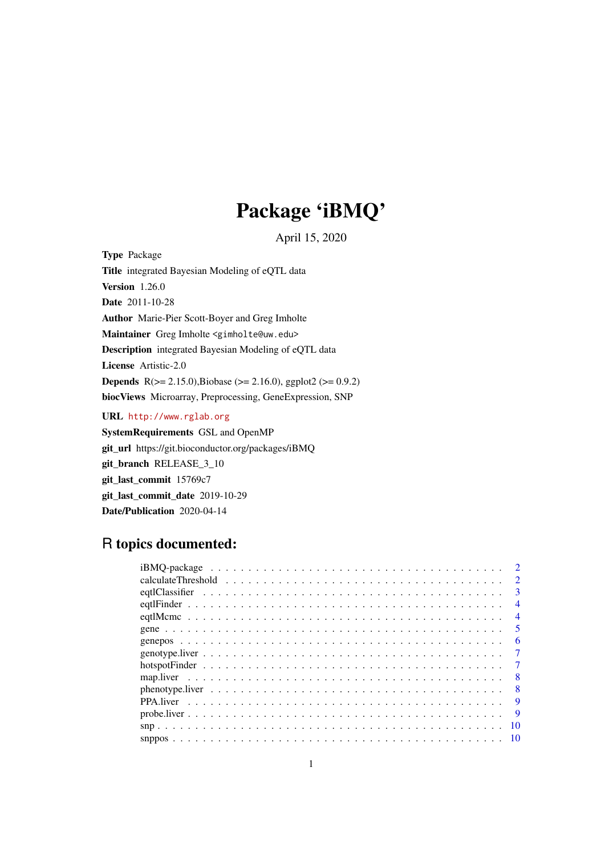# Package 'iBMQ'

April 15, 2020

Type Package Title integrated Bayesian Modeling of eQTL data Version 1.26.0 Date 2011-10-28 Author Marie-Pier Scott-Boyer and Greg Imholte Maintainer Greg Imholte <gimholte@uw.edu> Description integrated Bayesian Modeling of eQTL data License Artistic-2.0 **Depends** R( $>= 2.15.0$ ),Biobase ( $>= 2.16.0$ ), ggplot2 ( $>= 0.9.2$ ) biocViews Microarray, Preprocessing, GeneExpression, SNP

URL <http://www.rglab.org>

SystemRequirements GSL and OpenMP git\_url https://git.bioconductor.org/packages/iBMQ git\_branch RELEASE\_3\_10 git\_last\_commit 15769c7 git last commit date 2019-10-29 Date/Publication 2020-04-14

# R topics documented:

|    | $\mathcal{D}$  |
|----|----------------|
|    | $2^{1}$        |
|    | 3              |
|    | $\overline{4}$ |
|    | $\overline{4}$ |
|    | 5              |
|    | 6              |
|    | $\tau$         |
|    |                |
|    | 8              |
|    |                |
|    | <b>Q</b>       |
|    | <b>9</b>       |
| 10 |                |
|    |                |
|    |                |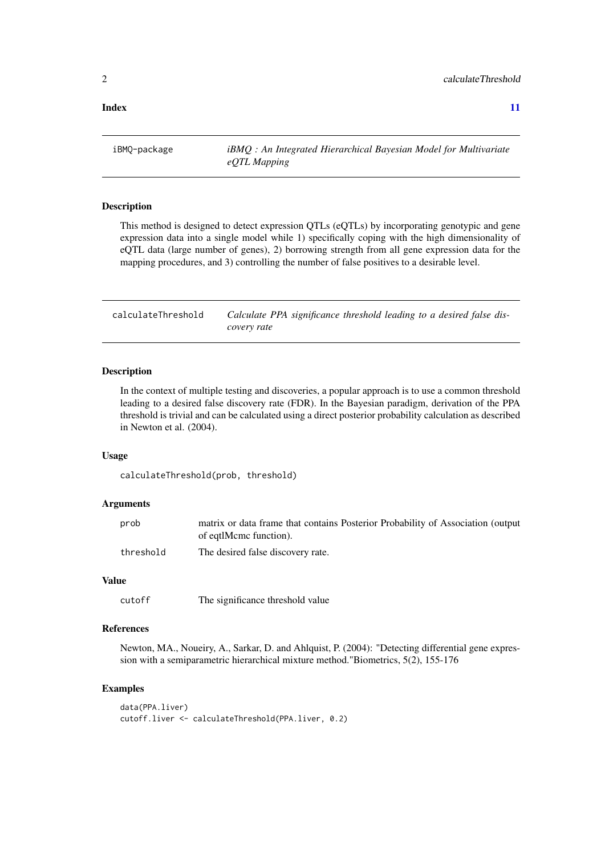#### <span id="page-1-0"></span>**Index** [11](#page-10-0)

iBMQ-package *iBMQ : An Integrated Hierarchical Bayesian Model for Multivariate eQTL Mapping*

# Description

This method is designed to detect expression QTLs (eQTLs) by incorporating genotypic and gene expression data into a single model while 1) specifically coping with the high dimensionality of eQTL data (large number of genes), 2) borrowing strength from all gene expression data for the mapping procedures, and 3) controlling the number of false positives to a desirable level.

calculateThreshold *Calculate PPA significance threshold leading to a desired false discovery rate*

# Description

In the context of multiple testing and discoveries, a popular approach is to use a common threshold leading to a desired false discovery rate (FDR). In the Bayesian paradigm, derivation of the PPA threshold is trivial and can be calculated using a direct posterior probability calculation as described in Newton et al. (2004).

#### Usage

calculateThreshold(prob, threshold)

#### Arguments

| prob      | matrix or data frame that contains Posterior Probability of Association (output |
|-----------|---------------------------------------------------------------------------------|
|           | of eqtlMcmc function).                                                          |
| threshold | The desired false discovery rate.                                               |

# Value

cutoff The significance threshold value

# References

Newton, MA., Noueiry, A., Sarkar, D. and Ahlquist, P. (2004): "Detecting differential gene expression with a semiparametric hierarchical mixture method."Biometrics, 5(2), 155-176

# Examples

```
data(PPA.liver)
cutoff.liver <- calculateThreshold(PPA.liver, 0.2)
```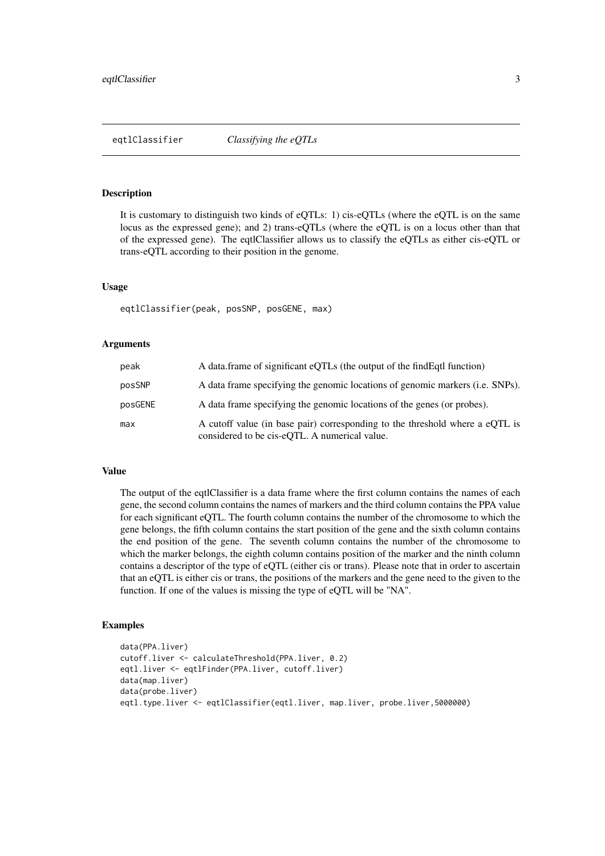<span id="page-2-0"></span>

## Description

It is customary to distinguish two kinds of eQTLs: 1) cis-eQTLs (where the eQTL is on the same locus as the expressed gene); and 2) trans-eQTLs (where the eQTL is on a locus other than that of the expressed gene). The eqtlClassifier allows us to classify the eQTLs as either cis-eQTL or trans-eQTL according to their position in the genome.

#### Usage

eqtlClassifier(peak, posSNP, posGENE, max)

#### Arguments

| peak    | A data frame of significant eQTLs (the output of the find Eqt I function)                                                     |
|---------|-------------------------------------------------------------------------------------------------------------------------------|
| posSNP  | A data frame specifying the genomic locations of genomic markers (i.e. SNPs).                                                 |
| posGENE | A data frame specifying the genomic locations of the genes (or probes).                                                       |
| max     | A cutoff value (in base pair) corresponding to the threshold where a eQTL is<br>considered to be cis-eOTL. A numerical value. |

#### Value

The output of the eqtlClassifier is a data frame where the first column contains the names of each gene, the second column contains the names of markers and the third column contains the PPA value for each significant eQTL. The fourth column contains the number of the chromosome to which the gene belongs, the fifth column contains the start position of the gene and the sixth column contains the end position of the gene. The seventh column contains the number of the chromosome to which the marker belongs, the eighth column contains position of the marker and the ninth column contains a descriptor of the type of eQTL (either cis or trans). Please note that in order to ascertain that an eQTL is either cis or trans, the positions of the markers and the gene need to the given to the function. If one of the values is missing the type of eQTL will be "NA".

#### Examples

```
data(PPA.liver)
cutoff.liver <- calculateThreshold(PPA.liver, 0.2)
eqtl.liver <- eqtlFinder(PPA.liver, cutoff.liver)
data(map.liver)
data(probe.liver)
eqtl.type.liver <- eqtlClassifier(eqtl.liver, map.liver, probe.liver,5000000)
```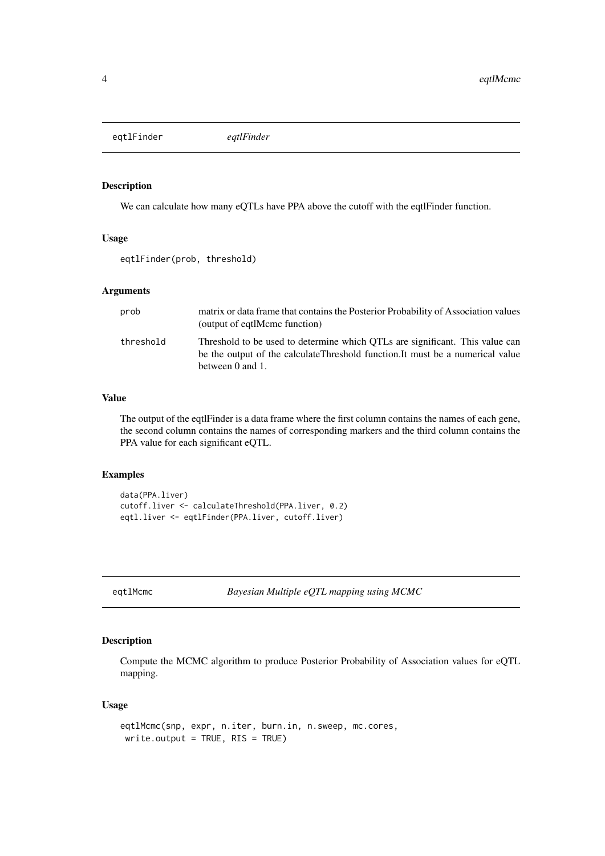<span id="page-3-0"></span>eqtlFinder *eqtlFinder*

#### Description

We can calculate how many eQTLs have PPA above the cutoff with the eqtlFinder function.

### Usage

eqtlFinder(prob, threshold)

#### Arguments

| prob      | matrix or data frame that contains the Posterior Probability of Association values<br>(output of eqtlMcmc function)                                                                |
|-----------|------------------------------------------------------------------------------------------------------------------------------------------------------------------------------------|
| threshold | Threshold to be used to determine which OTLs are significant. This value can<br>be the output of the calculateThreshold function. It must be a numerical value<br>between 0 and 1. |

# Value

The output of the eqtlFinder is a data frame where the first column contains the names of each gene, the second column contains the names of corresponding markers and the third column contains the PPA value for each significant eQTL.

#### Examples

```
data(PPA.liver)
cutoff.liver <- calculateThreshold(PPA.liver, 0.2)
eqtl.liver <- eqtlFinder(PPA.liver, cutoff.liver)
```
eqtlMcmc *Bayesian Multiple eQTL mapping using MCMC*

## Description

Compute the MCMC algorithm to produce Posterior Probability of Association values for eQTL mapping.

# Usage

```
eqtlMcmc(snp, expr, n.iter, burn.in, n.sweep, mc.cores,
write.output = TRUE, RIS = TRUE)
```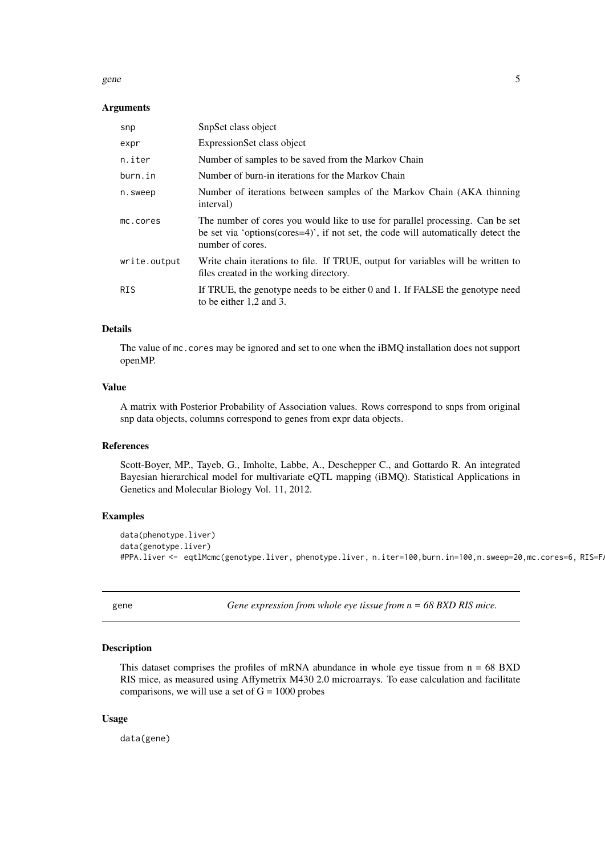#### <span id="page-4-0"></span>gene 5

#### Arguments

| snp          | SnpSet class object                                                                                                                                                                               |
|--------------|---------------------------------------------------------------------------------------------------------------------------------------------------------------------------------------------------|
| expr         | ExpressionSet class object                                                                                                                                                                        |
| n.iter       | Number of samples to be saved from the Markov Chain                                                                                                                                               |
| burn.in      | Number of burn-in iterations for the Markov Chain                                                                                                                                                 |
| n.sweep      | Number of iterations between samples of the Markov Chain (AKA thinning)<br>interval)                                                                                                              |
| mc.cores     | The number of cores you would like to use for parallel processing. Can be set<br>be set via 'options( $\text{cores}=4$ )', if not set, the code will automatically detect the<br>number of cores. |
| write.output | Write chain iterations to file. If TRUE, output for variables will be written to<br>files created in the working directory.                                                                       |
| <b>RIS</b>   | If TRUE, the genotype needs to be either 0 and 1. If FALSE the genotype need<br>to be either 1,2 and 3.                                                                                           |

# Details

The value of mc.cores may be ignored and set to one when the iBMQ installation does not support openMP.

### Value

A matrix with Posterior Probability of Association values. Rows correspond to snps from original snp data objects, columns correspond to genes from expr data objects.

### References

Scott-Boyer, MP., Tayeb, G., Imholte, Labbe, A., Deschepper C., and Gottardo R. An integrated Bayesian hierarchical model for multivariate eQTL mapping (iBMQ). Statistical Applications in Genetics and Molecular Biology Vol. 11, 2012.

# Examples

```
data(phenotype.liver)
data(genotype.liver)
#PPA.liver <- eqtlMcmc(genotype.liver, phenotype.liver, n.iter=100,burn.in=100,n.sweep=20,mc.cores=6, RIS=F.
```
gene *Gene expression from whole eye tissue from n = 68 BXD RIS mice.*

# Description

This dataset comprises the profiles of mRNA abundance in whole eye tissue from  $n = 68 BXD$ RIS mice, as measured using Affymetrix M430 2.0 microarrays. To ease calculation and facilitate comparisons, we will use a set of  $G = 1000$  probes

# Usage

data(gene)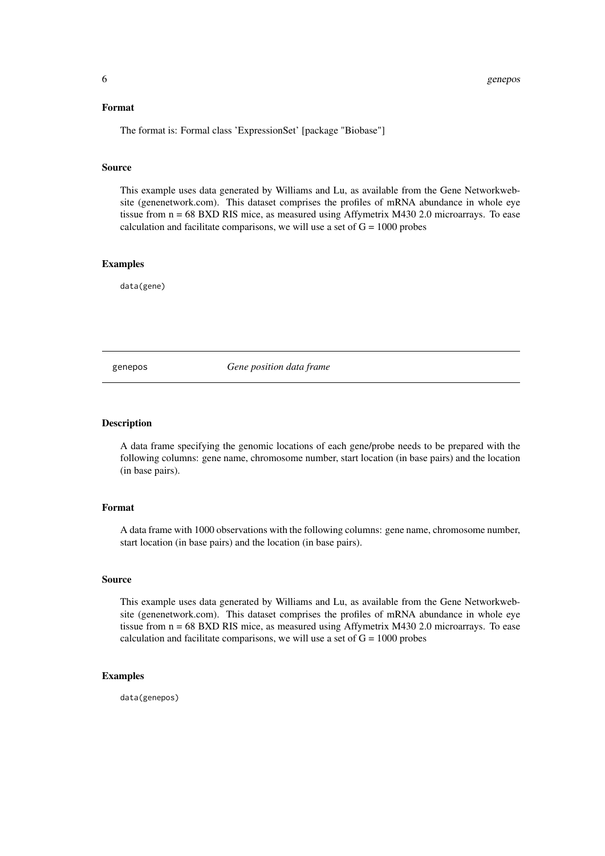#### <span id="page-5-0"></span>Format

The format is: Formal class 'ExpressionSet' [package "Biobase"]

#### Source

This example uses data generated by Williams and Lu, as available from the Gene Networkwebsite (genenetwork.com). This dataset comprises the profiles of mRNA abundance in whole eye tissue from n = 68 BXD RIS mice, as measured using Affymetrix M430 2.0 microarrays. To ease calculation and facilitate comparisons, we will use a set of  $G = 1000$  probes

#### Examples

data(gene)

genepos *Gene position data frame*

#### Description

A data frame specifying the genomic locations of each gene/probe needs to be prepared with the following columns: gene name, chromosome number, start location (in base pairs) and the location (in base pairs).

#### Format

A data frame with 1000 observations with the following columns: gene name, chromosome number, start location (in base pairs) and the location (in base pairs).

#### Source

This example uses data generated by Williams and Lu, as available from the Gene Networkwebsite (genenetwork.com). This dataset comprises the profiles of mRNA abundance in whole eye tissue from n = 68 BXD RIS mice, as measured using Affymetrix M430 2.0 microarrays. To ease calculation and facilitate comparisons, we will use a set of  $G = 1000$  probes

#### Examples

data(genepos)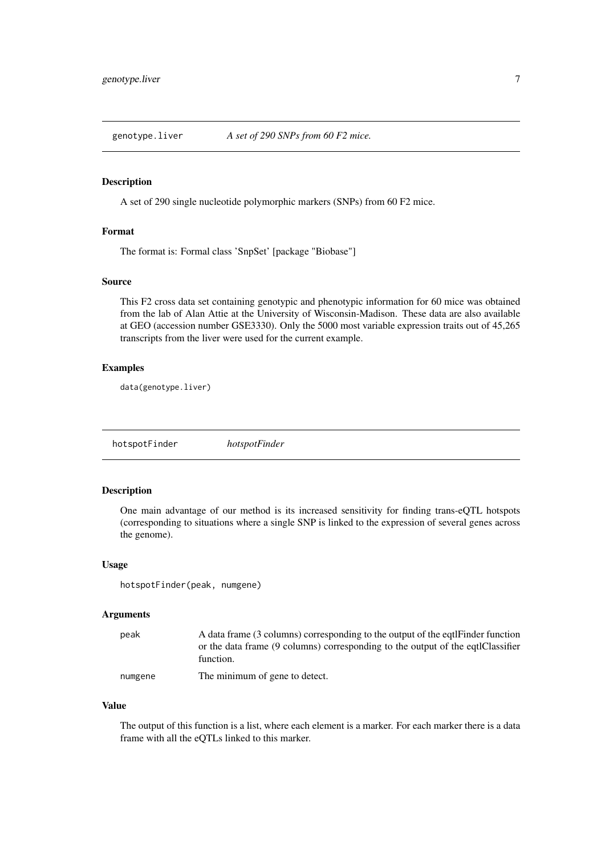<span id="page-6-0"></span>genotype.liver *A set of 290 SNPs from 60 F2 mice.*

#### Description

A set of 290 single nucleotide polymorphic markers (SNPs) from 60 F2 mice.

# Format

The format is: Formal class 'SnpSet' [package "Biobase"]

#### Source

This F2 cross data set containing genotypic and phenotypic information for 60 mice was obtained from the lab of Alan Attie at the University of Wisconsin-Madison. These data are also available at GEO (accession number GSE3330). Only the 5000 most variable expression traits out of 45,265 transcripts from the liver were used for the current example.

#### Examples

data(genotype.liver)

hotspotFinder *hotspotFinder*

#### Description

One main advantage of our method is its increased sensitivity for finding trans-eQTL hotspots (corresponding to situations where a single SNP is linked to the expression of several genes across the genome).

#### Usage

hotspotFinder(peak, numgene)

#### Arguments

| peak | A data frame (3 columns) corresponding to the output of the eqtifinder function<br>or the data frame (9 columns) corresponding to the output of the eqtlClassifier |
|------|--------------------------------------------------------------------------------------------------------------------------------------------------------------------|
|      | function.                                                                                                                                                          |
|      | $\mathbf{r}$ , the state $\mathbf{r}$ , the state $\mathbf{r}$                                                                                                     |

numgene The minimum of gene to detect.

# Value

The output of this function is a list, where each element is a marker. For each marker there is a data frame with all the eQTLs linked to this marker.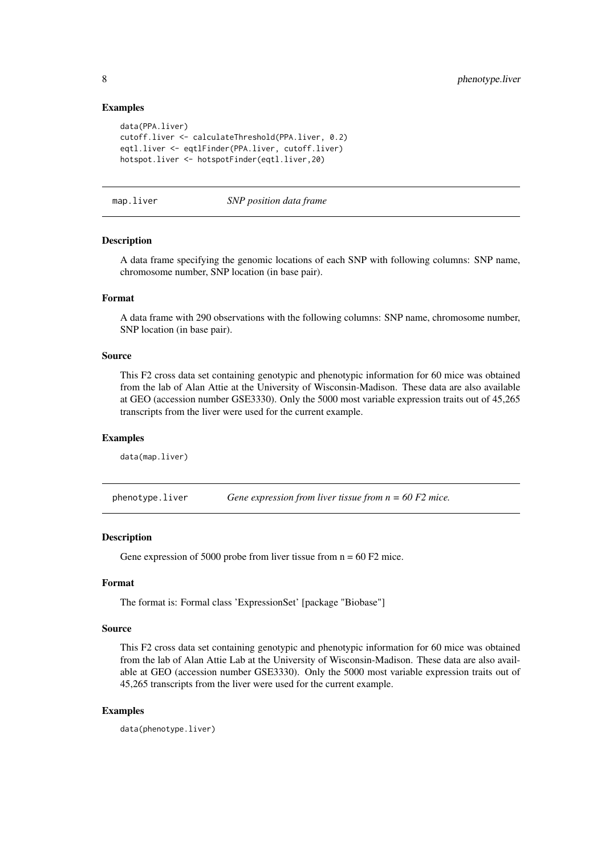#### Examples

```
data(PPA.liver)
cutoff.liver <- calculateThreshold(PPA.liver, 0.2)
eqtl.liver <- eqtlFinder(PPA.liver, cutoff.liver)
hotspot.liver <- hotspotFinder(eqtl.liver,20)
```
map.liver *SNP position data frame*

# Description

A data frame specifying the genomic locations of each SNP with following columns: SNP name, chromosome number, SNP location (in base pair).

#### Format

A data frame with 290 observations with the following columns: SNP name, chromosome number, SNP location (in base pair).

#### Source

This F2 cross data set containing genotypic and phenotypic information for 60 mice was obtained from the lab of Alan Attie at the University of Wisconsin-Madison. These data are also available at GEO (accession number GSE3330). Only the 5000 most variable expression traits out of 45,265 transcripts from the liver were used for the current example.

#### Examples

data(map.liver)

phenotype.liver *Gene expression from liver tissue from n = 60 F2 mice.*

#### Description

Gene expression of 5000 probe from liver tissue from  $n = 60 F2$  mice.

# Format

The format is: Formal class 'ExpressionSet' [package "Biobase"]

# Source

This F2 cross data set containing genotypic and phenotypic information for 60 mice was obtained from the lab of Alan Attie Lab at the University of Wisconsin-Madison. These data are also available at GEO (accession number GSE3330). Only the 5000 most variable expression traits out of 45,265 transcripts from the liver were used for the current example.

#### Examples

data(phenotype.liver)

<span id="page-7-0"></span>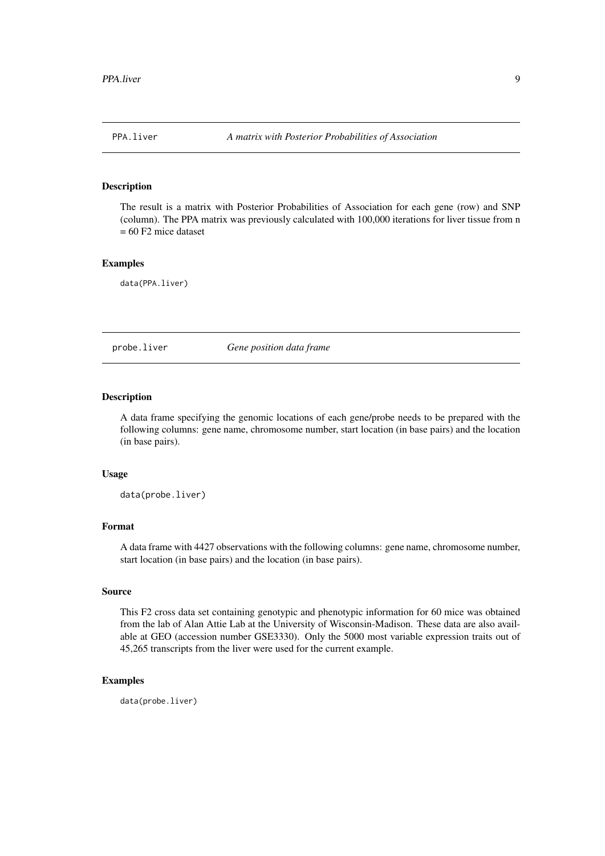<span id="page-8-0"></span>

#### Description

The result is a matrix with Posterior Probabilities of Association for each gene (row) and SNP (column). The PPA matrix was previously calculated with 100,000 iterations for liver tissue from n  $= 60$  F2 mice dataset

#### Examples

data(PPA.liver)

probe.liver *Gene position data frame*

#### Description

A data frame specifying the genomic locations of each gene/probe needs to be prepared with the following columns: gene name, chromosome number, start location (in base pairs) and the location (in base pairs).

#### Usage

data(probe.liver)

#### Format

A data frame with 4427 observations with the following columns: gene name, chromosome number, start location (in base pairs) and the location (in base pairs).

#### Source

This F2 cross data set containing genotypic and phenotypic information for 60 mice was obtained from the lab of Alan Attie Lab at the University of Wisconsin-Madison. These data are also available at GEO (accession number GSE3330). Only the 5000 most variable expression traits out of 45,265 transcripts from the liver were used for the current example.

#### Examples

data(probe.liver)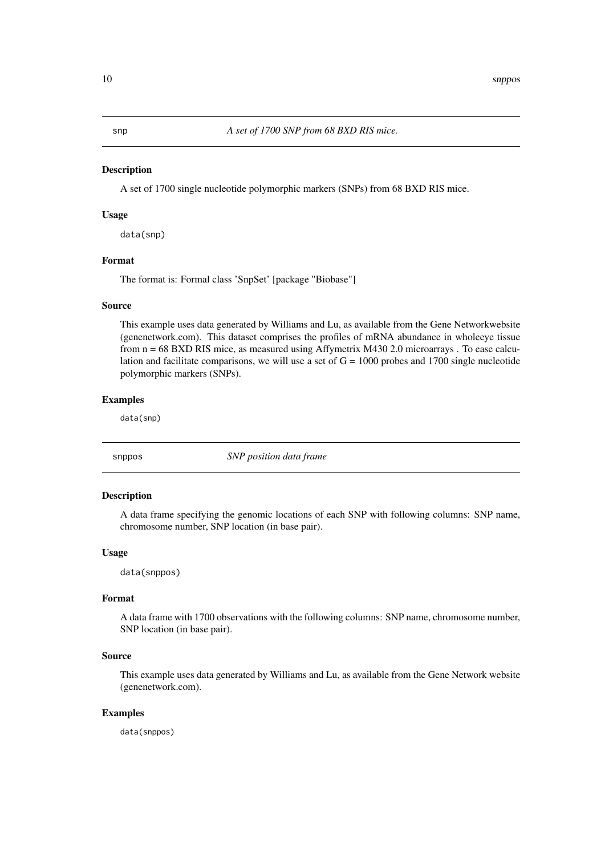<span id="page-9-0"></span>

#### Description

A set of 1700 single nucleotide polymorphic markers (SNPs) from 68 BXD RIS mice.

#### Usage

data(snp)

# Format

The format is: Formal class 'SnpSet' [package "Biobase"]

#### Source

This example uses data generated by Williams and Lu, as available from the Gene Networkwebsite (genenetwork.com). This dataset comprises the profiles of mRNA abundance in wholeeye tissue from n = 68 BXD RIS mice, as measured using Affymetrix M430 2.0 microarrays . To ease calculation and facilitate comparisons, we will use a set of  $G = 1000$  probes and 1700 single nucleotide polymorphic markers (SNPs).

# Examples

data(snp)

snppos *SNP position data frame*

#### Description

A data frame specifying the genomic locations of each SNP with following columns: SNP name, chromosome number, SNP location (in base pair).

#### Usage

data(snppos)

# Format

A data frame with 1700 observations with the following columns: SNP name, chromosome number, SNP location (in base pair).

#### Source

This example uses data generated by Williams and Lu, as available from the Gene Network website (genenetwork.com).

### Examples

data(snppos)